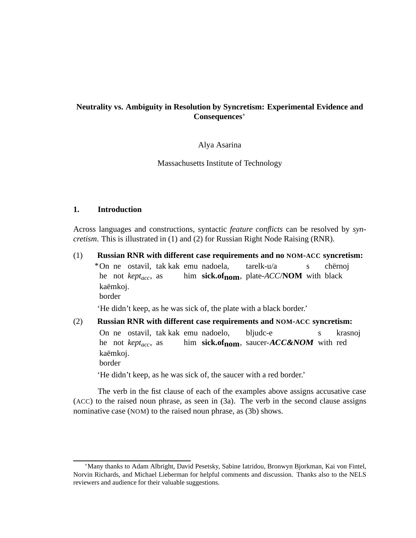## **Neutrality vs. Ambiguity in Resolution by Syncretism: Experimental Evidence and Consequences**<sup>∗</sup>

#### Alya Asarina

Massachusetts Institute of Technology

#### **1. Introduction**

Across languages and constructions, syntactic *feature conflicts* can be resolved by *syncretism*. This is illustrated in (1) and (2) for Russian Right Node Raising (RNR).

(1) **Russian RNR with different case requirements and no NOM-ACC syncretism:** \*On ne ostavil, tak kak emu nadoela, he not *keptacc*, as him **sick.ofnom**, plate-*ACC*/**NOM** with black tarelk-u/a s chërnoj kaëmkoj. border 'He didn't keep, as he was sick of, the plate with a black border.' (2) **Russian RNR with different case requirements and NOM-ACC syncretism:**

On ne ostavil, tak kak emu nadoelo, he not *keptacc*, as him sick.of<sub>nom</sub>, saucer-**ACC&NOM** with red bljudc-e s krasnoj kaëmkoi. border

'He didn't keep, as he was sick of, the saucer with a red border.'

The verb in the fist clause of each of the examples above assigns accusative case (ACC) to the raised noun phrase, as seen in (3a). The verb in the second clause assigns nominative case (NOM) to the raised noun phrase, as (3b) shows.

<sup>∗</sup>Many thanks to Adam Albright, David Pesetsky, Sabine Iatridou, Bronwyn Bjorkman, Kai von Fintel, Norvin Richards, and Michael Lieberman for helpful comments and discussion. Thanks also to the NELS reviewers and audience for their valuable suggestions.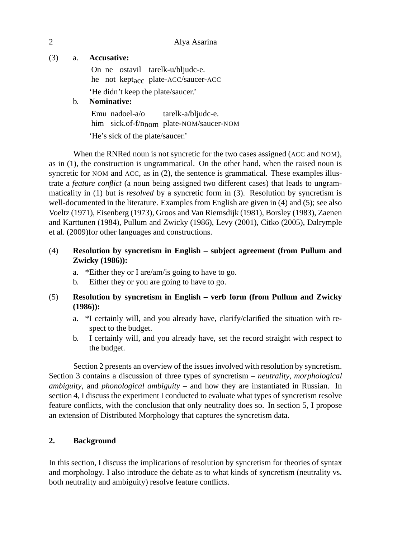## (3) a. **Accusative:**

On ne ostavil tarelk-u/bljudc-e. he not kept<sub>acc</sub> plate-ACC/saucer-ACC 'He didn't keep the plate/saucer.'

# b. **Nominative:**

Emu nadoel-a/o him sick.of-f/n<sub>nom</sub> plate-NOM/saucer-NOM tarelk-a/bljudc-e. 'He's sick of the plate/saucer.'

When the RNRed noun is not syncretic for the two cases assigned (ACC and NOM), as in (1), the construction is ungrammatical. On the other hand, when the raised noun is syncretic for NOM and ACC, as in (2), the sentence is grammatical. These examples illustrate a *feature conflict* (a noun being assigned two different cases) that leads to ungrammaticality in (1) but is *resolved* by a syncretic form in (3). Resolution by syncretism is well-documented in the literature. Examples from English are given in (4) and (5); see also Voeltz (1971), Eisenberg (1973), Groos and Van Riemsdijk (1981), Borsley (1983), Zaenen and Karttunen (1984), Pullum and Zwicky (1986), Levy (2001), Citko (2005), Dalrymple et al. (2009)for other languages and constructions.

# (4) **Resolution by syncretism in English – subject agreement (from Pullum and Zwicky (1986)):**

- a. \*Either they or I are/am/is going to have to go.
- b. Either they or you are going to have to go.

# (5) **Resolution by syncretism in English – verb form (from Pullum and Zwicky (1986)):**

- a. \*I certainly will, and you already have, clarify/clarified the situation with respect to the budget.
- b. I certainly will, and you already have, set the record straight with respect to the budget.

Section 2 presents an overview of the issues involved with resolution by syncretism. Section 3 contains a discussion of three types of syncretism – *neutrality*, *morphological ambiguity*, and *phonological ambiguity* – and how they are instantiated in Russian. In section 4, I discuss the experiment I conducted to evaluate what types of syncretism resolve feature conflicts, with the conclusion that only neutrality does so. In section 5, I propose an extension of Distributed Morphology that captures the syncretism data.

# **2. Background**

In this section, I discuss the implications of resolution by syncretism for theories of syntax and morphology. I also introduce the debate as to what kinds of syncretism (neutrality vs. both neutrality and ambiguity) resolve feature conflicts.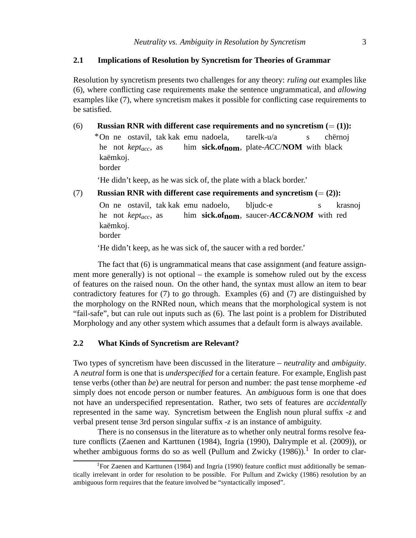## **2.1 Implications of Resolution by Syncretism for Theories of Grammar**

Resolution by syncretism presents two challenges for any theory: *ruling out* examples like (6), where conflicting case requirements make the sentence ungrammatical, and *allowing* examples like (7), where syncretism makes it possible for conflicting case requirements to be satisfied.

(6) **Russian RNR with different case requirements and no syncretism**  $(=(1))$ **:** \*On ne ostavil, tak kak emu nadoela, he not *keptacc*, as him **sick.ofnom**, plate-*ACC*/**NOM** with black tarelk-u/a s chërnoj kaëmkoj. border

'He didn't keep, as he was sick of, the plate with a black border.'

(7) **Russian RNR with different case requirements and syncretism**  $(=(2))$ **:** On ne ostavil, tak kak emu nadoelo, he not *keptacc*, as him sick.of<sub>nom</sub>, saucer-**ACC&NOM** with red bljudc-e s krasnoj kaëmkoj. border

'He didn't keep, as he was sick of, the saucer with a red border.'

The fact that (6) is ungrammatical means that case assignment (and feature assignment more generally) is not optional – the example is somehow ruled out by the excess of features on the raised noun. On the other hand, the syntax must allow an item to bear contradictory features for (7) to go through. Examples (6) and (7) are distinguished by the morphology on the RNRed noun, which means that the morphological system is not "fail-safe", but can rule out inputs such as (6). The last point is a problem for Distributed Morphology and any other system which assumes that a default form is always available.

#### **2.2 What Kinds of Syncretism are Relevant?**

Two types of syncretism have been discussed in the literature – *neutrality* and *ambiguity*. A *neutral* form is one that is *underspecified* for a certain feature. For example, English past tense verbs (other than *be*) are neutral for person and number: the past tense morpheme -*ed* simply does not encode person or number features. An *ambiguous* form is one that does not have an underspecified representation. Rather, two sets of features are *accidentally* represented in the same way. Syncretism between the English noun plural suffix -*z* and verbal present tense 3rd person singular suffix -*z* is an instance of ambiguity.

There is no consensus in the literature as to whether only neutral forms resolve feature conflicts (Zaenen and Karttunen (1984), Ingria (1990), Dalrymple et al. (2009)), or whether ambiguous forms do so as well (Pullum and Zwicky  $(1986)$ ).<sup>1</sup> In order to clar-

<sup>&</sup>lt;sup>1</sup>For Zaenen and Karttunen (1984) and Ingria (1990) feature conflict must additionally be semantically irrelevant in order for resolution to be possible. For Pullum and Zwicky (1986) resolution by an ambiguous form requires that the feature involved be "syntactically imposed".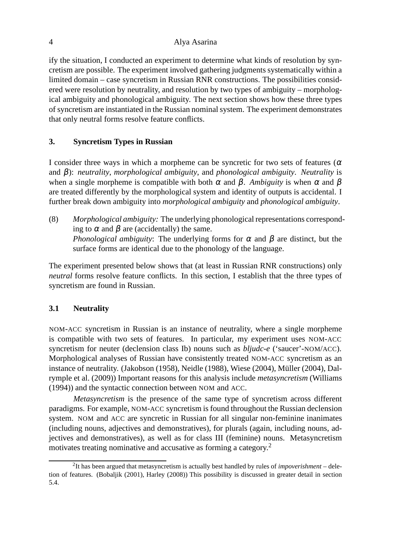ify the situation, I conducted an experiment to determine what kinds of resolution by syncretism are possible. The experiment involved gathering judgments systematically within a limited domain – case syncretism in Russian RNR constructions. The possibilities considered were resolution by neutrality, and resolution by two types of ambiguity – morphological ambiguity and phonological ambiguity. The next section shows how these three types of syncretism are instantiated in the Russian nominal system. The experiment demonstrates that only neutral forms resolve feature conflicts.

## **3. Syncretism Types in Russian**

I consider three ways in which a morpheme can be syncretic for two sets of features ( $\alpha$ ) and β): *neutrality*, *morphological ambiguity*, and *phonological ambiguity*. *Neutrality* is when a single morpheme is compatible with both  $\alpha$  and  $\beta$ . *Ambiguity* is when  $\alpha$  and  $\beta$ are treated differently by the morphological system and identity of outputs is accidental. I further break down ambiguity into *morphological ambiguity* and *phonological ambiguity*.

(8) *Morphological ambiguity:* The underlying phonological representations corresponding to  $\alpha$  and  $\beta$  are (accidentally) the same. *Phonological ambiguity*: The underlying forms for  $\alpha$  and  $\beta$  are distinct, but the surface forms are identical due to the phonology of the language.

The experiment presented below shows that (at least in Russian RNR constructions) only *neutral* forms resolve feature conflicts. In this section, I establish that the three types of syncretism are found in Russian.

# **3.1 Neutrality**

NOM-ACC syncretism in Russian is an instance of neutrality, where a single morpheme is compatible with two sets of features. In particular, my experiment uses NOM-ACC syncretism for neuter (declension class Ib) nouns such as *bljudc-e* ('saucer'-NOM/ACC). Morphological analyses of Russian have consistently treated NOM-ACC syncretism as an instance of neutrality. (Jakobson (1958), Neidle (1988), Wiese (2004), Müller (2004), Dalrymple et al. (2009)) Important reasons for this analysis include *metasyncretism* (Williams (1994)) and the syntactic connection between NOM and ACC.

*Metasyncretism* is the presence of the same type of syncretism across different paradigms. For example, NOM-ACC syncretism is found throughout the Russian declension system. NOM and ACC are syncretic in Russian for all singular non-feminine inanimates (including nouns, adjectives and demonstratives), for plurals (again, including nouns, adjectives and demonstratives), as well as for class III (feminine) nouns. Metasyncretism motivates treating nominative and accusative as forming a category.<sup>2</sup>

<sup>2</sup> It has been argued that metasyncretism is actually best handled by rules of *impoverishment* – deletion of features. (Bobaljik (2001), Harley (2008)) This possibility is discussed in greater detail in section 5.4.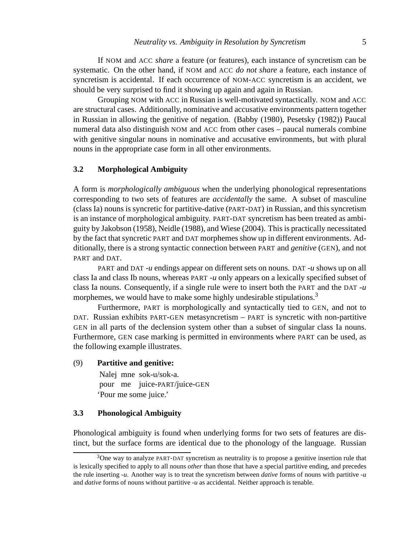If NOM and ACC *share* a feature (or features), each instance of syncretism can be systematic. On the other hand, if NOM and ACC *do not share* a feature, each instance of syncretism is accidental. If each occurrence of NOM-ACC syncretism is an accident, we should be very surprised to find it showing up again and again in Russian.

Grouping NOM with ACC in Russian is well-motivated syntactically. NOM and ACC are structural cases. Additionally, nominative and accusative environments pattern together in Russian in allowing the genitive of negation. (Babby (1980), Pesetsky (1982)) Paucal numeral data also distinguish NOM and ACC from other cases – paucal numerals combine with genitive singular nouns in nominative and accusative environments, but with plural nouns in the appropriate case form in all other environments.

#### **3.2 Morphological Ambiguity**

A form is *morphologically ambiguous* when the underlying phonological representations corresponding to two sets of features are *accidentally* the same. A subset of masculine (class Ia) nouns is syncretic for partitive-dative (PART-DAT) in Russian, and this syncretism is an instance of morphological ambiguity. PART-DAT syncretism has been treated as ambiguity by Jakobson (1958), Neidle (1988), and Wiese (2004). This is practically necessitated by the fact that syncretic PART and DAT morphemes show up in different environments. Additionally, there is a strong syntactic connection between PART and *genitive* (GEN), and not PART and DAT.

PART and DAT -*u* endings appear on different sets on nouns. DAT -*u* shows up on all class Ia and class Ib nouns, whereas PART -*u* only appears on a lexically specified subset of class Ia nouns. Consequently, if a single rule were to insert both the PART and the DAT -*u* morphemes, we would have to make some highly undesirable stipulations.<sup>3</sup>

Furthermore, PART is morphologically and syntactically tied to GEN, and not to DAT. Russian exhibits PART-GEN metasyncretism – PART is syncretic with non-partitive GEN in all parts of the declension system other than a subset of singular class Ia nouns. Furthermore, GEN case marking is permitted in environments where PART can be used, as the following example illustrates.

#### (9) **Partitive and genitive:**

Nalej mne sok-u/sok-a. pour me juice-PART/juice-GEN 'Pour me some juice.'

#### **3.3 Phonological Ambiguity**

Phonological ambiguity is found when underlying forms for two sets of features are distinct, but the surface forms are identical due to the phonology of the language. Russian

<sup>&</sup>lt;sup>3</sup>One way to analyze PART-DAT syncretism as neutrality is to propose a genitive insertion rule that is lexically specified to apply to all nouns *other* than those that have a special partitive ending, and precedes the rule inserting -*u*. Another way is to treat the syncretism between *dative* forms of nouns with partitive -*u* and *dative* forms of nouns without partitive -*u* as accidental. Neither approach is tenable.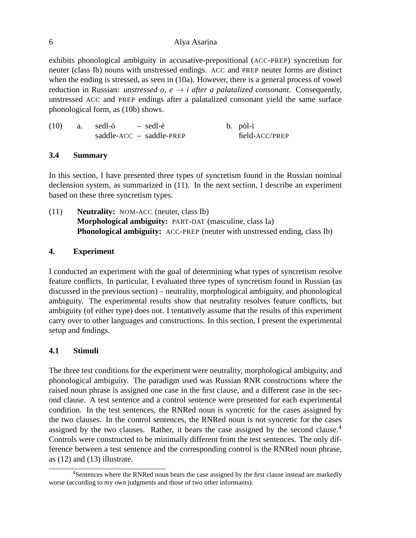exhibits phonological ambiguity in accusative-prepositional (ACC-PREP) syncretism for neuter (class Ib) nouns with unstressed endings. ACC and PREP neuter forms are distinct when the ending is stressed, as seen in (10a). However, there is a general process of vowel reduction in Russian: *unstressed o, e*  $\rightarrow$  *i after a palatalized consonant*. Consequently, unstressed ACC and PREP endings after a palatalized consonant yield the same surface phonological form, as (10b) shows.

| (10)<br>a. sedl-ó |  | – sedl-é                   | b. pól-i       |
|-------------------|--|----------------------------|----------------|
|                   |  | $saddle-ACC - saddle-PREF$ | field-ACC/PREP |

## **3.4 Summary**

In this section, I have presented three types of syncretism found in the Russian nominal declension system, as summarized in (11). In the next section, I describe an experiment based on these three syncretism types.

(11) **Neutrality:** NOM-ACC (neuter, class Ib) **Morphological ambiguity:** PART-DAT (masculine, class Ia) **Phonological ambiguity:** ACC-PREP (neuter with unstressed ending, class Ib)

## **4. Experiment**

I conducted an experiment with the goal of determining what types of syncretism resolve feature conflicts. In particular, I evaluated three types of syncretism found in Russian (as discussed in the previous section) – neutrality, morphological ambiguity, and phonological ambiguity. The experimental results show that neutrality resolves feature conflicts, but ambiguity (of either type) does not. I tentatively assume that the results of this experiment carry over to other languages and constructions. In this section, I present the experimental setup and findings.

# **4.1 Stimuli**

The three test conditions for the experiment were neutrality, morphological ambiguity, and phonological ambiguity. The paradigm used was Russian RNR constructions where the raised noun phrase is assigned one case in the first clause, and a different case in the second clause. A test sentence and a control sentence were presented for each experimental condition. In the test sentences, the RNRed noun is syncretic for the cases assigned by the two clauses. In the control sentences, the RNRed noun is not syncretic for the cases assigned by the two clauses. Rather, it bears the case assigned by the second clause.<sup>4</sup> Controls were constructed to be minimally different from the test sentences. The only difference between a test sentence and the corresponding control is the RNRed noun phrase, as (12) and (13) illustrate.

<sup>4</sup>Sentences where the RNRed noun bears the case assigned by the first clause instead are markedly worse (according to my own judgments and those of two other informants).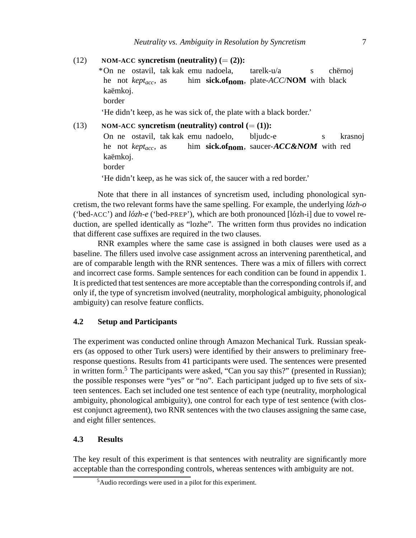#### $(12)$  **NOM-ACC** syncretism (neutrality)  $(=(2))$ :

\*On ne ostavil, tak kak emu nadoela, he not *keptacc*, as him **sick.ofnom**, plate-*ACC*/**NOM** with black tarelk-u/a s chërnoj kaëmkoj. border

'He didn't keep, as he was sick of, the plate with a black border.'

### $NOM$ **-** $ACC$  **syncretism** (**neutrality**) control ( $=(1)$ ):

On ne ostavil, tak kak emu nadoelo, he not *keptacc*, as him sick.of<sub>nom</sub>, saucer-*ACC&NOM* with red bliudc-e s krasnoj kaëmkoj. border

'He didn't keep, as he was sick of, the saucer with a red border.'

Note that there in all instances of syncretism used, including phonological syncretism, the two relevant forms have the same spelling. For example, the underlying  $l\acute{o}zh-o$ ('bed-ACC') and *lózh-e* ('bed-PREP'), which are both pronounced [lózh-i] due to vowel reduction, are spelled identically as "lozhe". The written form thus provides no indication that different case suffixes are required in the two clauses.

RNR examples where the same case is assigned in both clauses were used as a baseline. The fillers used involve case assignment across an intervening parenthetical, and are of comparable length with the RNR sentences. There was a mix of fillers with correct and incorrect case forms. Sample sentences for each condition can be found in appendix 1. It is predicted that test sentences are more acceptable than the corresponding controls if, and only if, the type of syncretism involved (neutrality, morphological ambiguity, phonological ambiguity) can resolve feature conflicts.

## **4.2 Setup and Participants**

The experiment was conducted online through Amazon Mechanical Turk. Russian speakers (as opposed to other Turk users) were identified by their answers to preliminary freeresponse questions. Results from 41 participants were used. The sentences were presented in written form.<sup>5</sup> The participants were asked, "Can you say this?" (presented in Russian); the possible responses were "yes" or "no". Each participant judged up to five sets of sixteen sentences. Each set included one test sentence of each type (neutrality, morphological ambiguity, phonological ambiguity), one control for each type of test sentence (with closest conjunct agreement), two RNR sentences with the two clauses assigning the same case, and eight filler sentences.

## **4.3 Results**

The key result of this experiment is that sentences with neutrality are significantly more acceptable than the corresponding controls, whereas sentences with ambiguity are not.

<sup>5</sup>Audio recordings were used in a pilot for this experiment.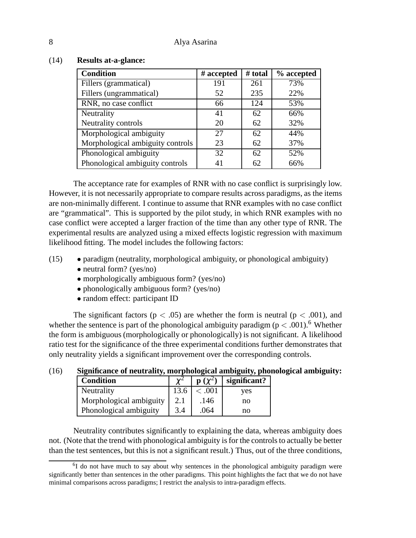| <b>Condition</b>                 | # accepted | # total | % accepted |
|----------------------------------|------------|---------|------------|
| Fillers (grammatical)            | 191        | 261     | 73%        |
| Fillers (ungrammatical)          | 52         | 235     | 22%        |
| RNR, no case conflict            | 66         | 124     | 53%        |
| Neutrality                       | 41         | 62      | 66%        |
| Neutrality controls              | 20         | 62      | 32%        |
| Morphological ambiguity          | 27         | 62      | 44%        |
| Morphological ambiguity controls | 23         | 62      | 37%        |
| Phonological ambiguity           | 32         | 62      | 52%        |
| Phonological ambiguity controls  | 41         | 62      | 66%        |

#### (14) **Results at-a-glance:**

The acceptance rate for examples of RNR with no case conflict is surprisingly low. However, it is not necessarily appropriate to compare results across paradigms, as the items are non-minimally different. I continue to assume that RNR examples with no case conflict are "grammatical". This is supported by the pilot study, in which RNR examples with no case conflict were accepted a larger fraction of the time than any other type of RNR. The experimental results are analyzed using a mixed effects logistic regression with maximum likelihood fitting. The model includes the following factors:

- (15) paradigm (neutrality, morphological ambiguity, or phonological ambiguity)
	- neutral form? (yes/no)
	- morphologically ambiguous form? (yes/no)
	- phonologically ambiguous form? (yes/no)
	- random effect: participant ID

The significant factors ( $p < .05$ ) are whether the form is neutral ( $p < .001$ ), and whether the sentence is part of the phonological ambiguity paradigm ( $p < .001$ ).<sup>6</sup> Whether the form is ambiguous (morphologically or phonologically) is not significant. A likelihood ratio test for the significance of the three experimental conditions further demonstrates that only neutrality yields a significant improvement over the corresponding controls.

| <b>Condition</b>        |      | $\mathbf{p}(\chi^2)$ | significant? |
|-------------------------|------|----------------------|--------------|
| Neutrality              | 13.6 | <.001                | ves          |
| Morphological ambiguity |      | .146                 | no           |
| Phonological ambiguity  | 3.4  | .064                 | no           |

# (16) **Significance of neutrality, morphological ambiguity, phonological ambiguity:**

Neutrality contributes significantly to explaining the data, whereas ambiguity does not. (Note that the trend with phonological ambiguity is for the controls to actually be better than the test sentences, but this is not a significant result.) Thus, out of the three conditions,

<sup>&</sup>lt;sup>6</sup>I do not have much to say about why sentences in the phonological ambiguity paradigm were significantly better than sentences in the other paradigms. This point highlights the fact that we do not have minimal comparisons across paradigms; I restrict the analysis to intra-paradigm effects.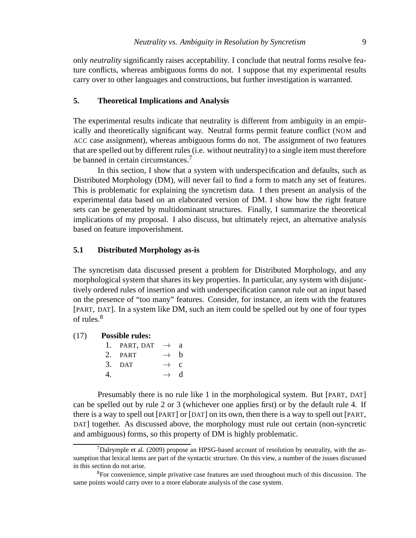only *neutrality* significantly raises acceptability. I conclude that neutral forms resolve feature conflicts, whereas ambiguous forms do not. I suppose that my experimental results carry over to other languages and constructions, but further investigation is warranted.

## **5. Theoretical Implications and Analysis**

The experimental results indicate that neutrality is different from ambiguity in an empirically and theoretically significant way. Neutral forms permit feature conflict (NOM and ACC case assignment), whereas ambiguous forms do not. The assignment of two features that are spelled out by different rules (i.e. without neutrality) to a single item must therefore be banned in certain circumstances.<sup>7</sup>

In this section, I show that a system with underspecification and defaults, such as Distributed Morphology (DM), will never fail to find a form to match any set of features. This is problematic for explaining the syncretism data. I then present an analysis of the experimental data based on an elaborated version of DM. I show how the right feature sets can be generated by multidominant structures. Finally, I summarize the theoretical implications of my proposal. I also discuss, but ultimately reject, an alternative analysis based on feature impoverishment.

#### **5.1 Distributed Morphology as-is**

The syncretism data discussed present a problem for Distributed Morphology, and any morphological system that shares its key properties. In particular, any system with disjunctively ordered rules of insertion and with underspecification cannot rule out an input based on the presence of "too many" features. Consider, for instance, an item with the features [PART, DAT]. In a system like DM, such an item could be spelled out by one of four types of rules.<sup>8</sup>

#### (17) **Possible rules:**

|    | 1. PART, DAT $\rightarrow$ a |                 |  |
|----|------------------------------|-----------------|--|
|    | 2. PART                      | $\rightarrow$ h |  |
|    | 3. DAT                       | $\rightarrow$ c |  |
| 4. |                              | $\rightarrow$ d |  |

Presumably there is no rule like 1 in the morphological system. But [PART, DAT] can be spelled out by rule 2 or 3 (whichever one applies first) or by the default rule 4. If there is a way to spell out [PART] or [DAT] on its own, then there is a way to spell out [PART, DAT] together. As discussed above, the morphology must rule out certain (non-syncretic and ambiguous) forms, so this property of DM is highly problematic.

 $7$ Dalrymple et al. (2009) propose an HPSG-based account of resolution by neutrality, with the assumption that lexical items are part of the syntactic structure. On this view, a number of the issues discussed in this section do not arise.

<sup>&</sup>lt;sup>8</sup>For convenience, simple privative case features are used throughout much of this discussion. The same points would carry over to a more elaborate analysis of the case system.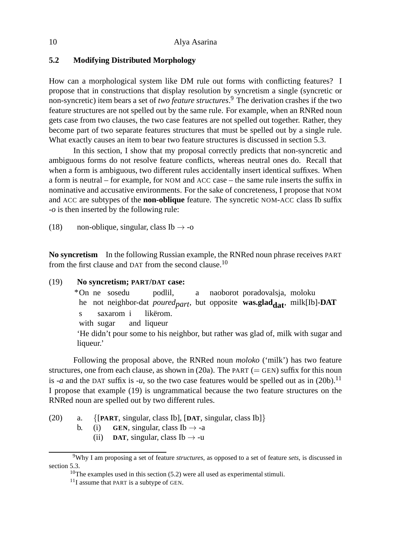## **5.2 Modifying Distributed Morphology**

How can a morphological system like DM rule out forms with conflicting features? I propose that in constructions that display resolution by syncretism a single (syncretic or non-syncretic) item bears a set of *two feature structures*. <sup>9</sup> The derivation crashes if the two feature structures are not spelled out by the same rule. For example, when an RNRed noun gets case from two clauses, the two case features are not spelled out together. Rather, they become part of two separate features structures that must be spelled out by a single rule. What exactly causes an item to bear two feature structures is discussed in section 5.3.

In this section, I show that my proposal correctly predicts that non-syncretic and ambiguous forms do not resolve feature conflicts, whereas neutral ones do. Recall that when a form is ambiguous, two different rules accidentally insert identical suffixes. When a form is neutral – for example, for NOM and ACC case – the same rule inserts the suffix in nominative and accusative environments. For the sake of concreteness, I propose that NOM and ACC are subtypes of the **non-oblique** feature. The syncretic NOM-ACC class Ib suffix -*o* is then inserted by the following rule:

(18) non-oblique, singular, class Ib  $\rightarrow$  -o

**No syncretism** In the following Russian example, the RNRed noun phrase receives PART from the first clause and DAT from the second clause.<sup>10</sup>

## (19) **No syncretism; PART/DAT case:**

\*On ne sosedu he not neighbor-dat *poured<sub>part</sub>*, but opposite was.glad<sub>dat</sub>, milk[Ib]-DAT podlil, a naoborot poradovalsja, moloku s with sugar saxarom i and liqueur likërom. 'He didn't pour some to his neighbor, but rather was glad of, milk with sugar and liqueur.'

Following the proposal above, the RNRed noun *moloko* ('milk') has two feature structures, one from each clause, as shown in (20a). The PART ( $=$  GEN) suffix for this noun is -*a* and the DAT suffix is -*u*, so the two case features would be spelled out as in (20b).<sup>11</sup> I propose that example (19) is ungrammatical because the two feature structures on the RNRed noun are spelled out by two different rules.

- (20) a. {[**PART**, singular, class Ib], [**DAT**, singular, class Ib]}
	- b. (i) **GEN**, singular, class  $Ib \rightarrow -a$ 
		- (ii) **DAT**, singular, class Ib  $\rightarrow$  -u

<sup>9</sup>Why I am proposing a set of feature *structures*, as opposed to a set of feature *sets*, is discussed in section 5.3.

<sup>&</sup>lt;sup>10</sup>The examples used in this section  $(5.2)$  were all used as experimental stimuli.

 $11$ I assume that PART is a subtype of GEN.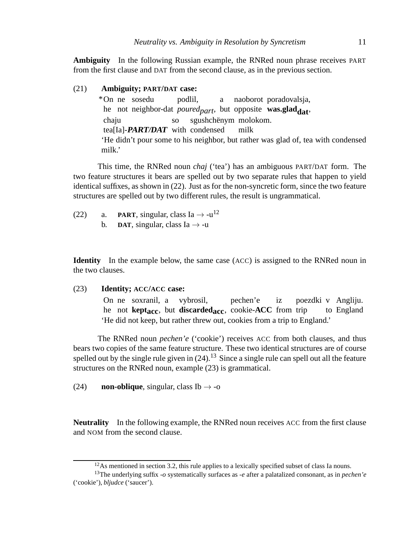**Ambiguity** In the following Russian example, the RNRed noun phrase receives PART from the first clause and DAT from the second clause, as in the previous section.

(21) **Ambiguity; PART/DAT case:**

\*On ne sosedu he not neighbor-dat *poured<sub>part*</sub>, but opposite **was.glad<sub>dat</sub>**, podlil, a naoborot poradovalsja, chaju tea[Ia]-**PART/DAT** with condensed so sgushchënym molokom. milk 'He didn't pour some to his neighbor, but rather was glad of, tea with condensed milk.'

This time, the RNRed noun *chaj* ('tea') has an ambiguous PART/DAT form. The two feature structures it bears are spelled out by two separate rules that happen to yield identical suffixes, as shown in (22). Just as for the non-syncretic form, since the two feature structures are spelled out by two different rules, the result is ungrammatical.

- (22) a. **PART**, singular, class Ia  $\rightarrow$  -u<sup>12</sup> b. **DAT**, singular, class Ia  $\rightarrow$  -u
- 

**Identity** In the example below, the same case (ACC) is assigned to the RNRed noun in the two clauses.

(23) **Identity; ACC/ACC case:**

On ne soxranil, a vybrosil, he not **keptacc**, but **discardedacc**, cookie-**ACC** from trip pechen'e iz poezdki v Angliju. to England 'He did not keep, but rather threw out, cookies from a trip to England.'

The RNRed noun *pechen'e* ('cookie') receives ACC from both clauses, and thus bears two copies of the same feature structure. These two identical structures are of course spelled out by the single rule given in  $(24)$ .<sup>13</sup> Since a single rule can spell out all the feature structures on the RNRed noun, example (23) is grammatical.

(24) **non-oblique**, singular, class Ib  $\rightarrow$  -o

**Neutrality** In the following example, the RNRed noun receives ACC from the first clause and NOM from the second clause.

 $12$ As mentioned in section 3.2, this rule applies to a lexically specified subset of class Ia nouns.

<sup>13</sup>The underlying suffix -*o* systematically surfaces as -*e* after a palatalized consonant, as in *pechen'e* ('cookie'), *bljudce* ('saucer').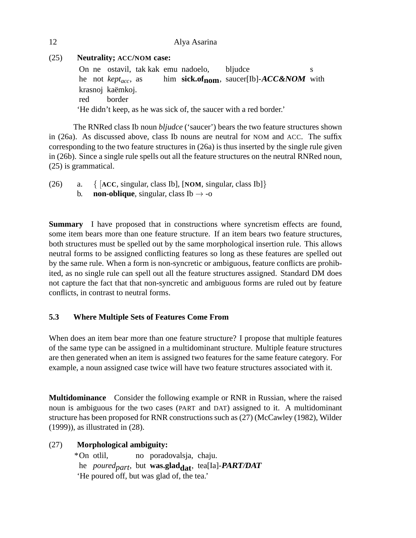# (25) **Neutrality; ACC/NOM case:**

On ne ostavil, tak kak emu nadoelo, he not *keptacc*, as him **sick.ofnom**, saucer[Ib]-**ACC&NOM** with bljudce s krasnoj kaëmkoj. red border 'He didn't keep, as he was sick of, the saucer with a red border.'

The RNRed class Ib noun *bljudce* ('saucer') bears the two feature structures shown in (26a). As discussed above, class Ib nouns are neutral for NOM and ACC. The suffix corresponding to the two feature structures in (26a) is thus inserted by the single rule given in (26b). Since a single rule spells out all the feature structures on the neutral RNRed noun, (25) is grammatical.

(26) a. { [**ACC**, singular, class Ib], [**NOM**, singular, class Ib]} b. **non-oblique**, singular, class  $\text{Ib} \rightarrow -\text{o}$ 

**Summary** I have proposed that in constructions where syncretism effects are found, some item bears more than one feature structure. If an item bears two feature structures, both structures must be spelled out by the same morphological insertion rule. This allows neutral forms to be assigned conflicting features so long as these features are spelled out by the same rule. When a form is non-syncretic or ambiguous, feature conflicts are prohibited, as no single rule can spell out all the feature structures assigned. Standard DM does not capture the fact that that non-syncretic and ambiguous forms are ruled out by feature conflicts, in contrast to neutral forms.

# **5.3 Where Multiple Sets of Features Come From**

When does an item bear more than one feature structure? I propose that multiple features of the same type can be assigned in a multidominant structure. Multiple feature structures are then generated when an item is assigned two features for the same feature category. For example, a noun assigned case twice will have two feature structures associated with it.

**Multidominance** Consider the following example or RNR in Russian, where the raised noun is ambiguous for the two cases (PART and DAT) assigned to it. A multidominant structure has been proposed for RNR constructions such as (27) (McCawley (1982), Wilder (1999)), as illustrated in (28).

# (27) **Morphological ambiguity:**

\*On otlil, he *poured<sub>part</sub>*, but **was.glad<sub>dat</sub>**, tea[Ia]-**PART/DAT** no poradovalsja, chaju. 'He poured off, but was glad of, the tea.'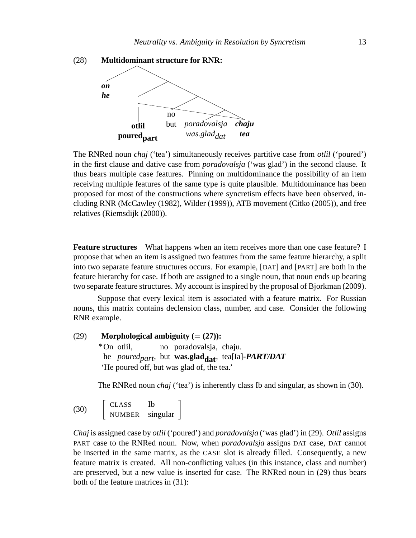

The RNRed noun *chaj* ('tea') simultaneously receives partitive case from *otlil* ('poured') in the first clause and dative case from *poradovalsja* ('was glad') in the second clause. It thus bears multiple case features. Pinning on multidominance the possibility of an item receiving multiple features of the same type is quite plausible. Multidominance has been proposed for most of the constructions where syncretism effects have been observed, including RNR (McCawley (1982), Wilder (1999)), ATB movement (Citko (2005)), and free relatives (Riemsdijk (2000)).

**Feature structures** What happens when an item receives more than one case feature? I propose that when an item is assigned two features from the same feature hierarchy, a split into two separate feature structures occurs. For example, [DAT] and [PART] are both in the feature hierarchy for case. If both are assigned to a single noun, that noun ends up bearing two separate feature structures. My account is inspired by the proposal of Bjorkman (2009).

Suppose that every lexical item is associated with a feature matrix. For Russian nouns, this matrix contains declension class, number, and case. Consider the following RNR example.

 $(29)$  **Morphological ambiguity**  $(=(27))$ : \*On otlil, he *poured<sub>part</sub>*, but **was.glad<sub>dat</sub>**, tea[Ia]-**PART/DAT** no poradovalsja, chaju. 'He poured off, but was glad of, the tea.'

The RNRed noun *chaj* ('tea') is inherently class Ib and singular, as shown in (30).

(30) CLASS Ib NUMBER singular

*Chaj* is assigned case by *otlil* ('poured') and *poradovalsja* ('was glad') in (29). *Otlil* assigns PART case to the RNRed noun. Now, when *poradovalsja* assigns DAT case, DAT cannot be inserted in the same matrix, as the CASE slot is already filled. Consequently, a new feature matrix is created. All non-conflicting values (in this instance, class and number) are preserved, but a new value is inserted for case. The RNRed noun in (29) thus bears both of the feature matrices in (31):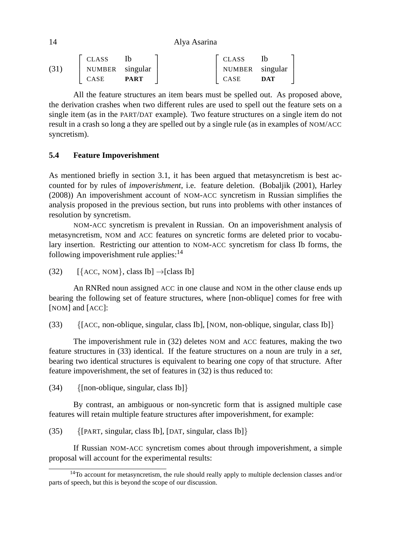14 Alya Asarina

|      | CLASS           |             | <b>CLASS</b>    |     |
|------|-----------------|-------------|-----------------|-----|
| (31) | NUMBER singular |             | NUMBER singular |     |
|      | <b>CASE</b>     | <b>PART</b> | CASE            | DAT |

All the feature structures an item bears must be spelled out. As proposed above, the derivation crashes when two different rules are used to spell out the feature sets on a single item (as in the PART/DAT example). Two feature structures on a single item do not result in a crash so long a they are spelled out by a single rule (as in examples of NOM/ACC syncretism).

## **5.4 Feature Impoverishment**

As mentioned briefly in section 3.1, it has been argued that metasyncretism is best accounted for by rules of *impoverishment*, i.e. feature deletion. (Bobaljik (2001), Harley (2008)) An impoverishment account of NOM-ACC syncretism in Russian simplifies the analysis proposed in the previous section, but runs into problems with other instances of resolution by syncretism.

NOM-ACC syncretism is prevalent in Russian. On an impoverishment analysis of metasyncretism, NOM and ACC features on syncretic forms are deleted prior to vocabulary insertion. Restricting our attention to NOM-ACC syncretism for class Ib forms, the following impoverishment rule applies: $14$ 

(32)  $[\{ACC, NOM\}, class Ib] \rightarrow [class Ib]$ 

An RNRed noun assigned ACC in one clause and NOM in the other clause ends up bearing the following set of feature structures, where [non-oblique] comes for free with [NOM] and [ACC]:

(33) {[ACC, non-oblique, singular, class Ib], [NOM, non-oblique, singular, class Ib]}

The impoverishment rule in (32) deletes NOM and ACC features, making the two feature structures in (33) identical. If the feature structures on a noun are truly in a *set*, bearing two identical structures is equivalent to bearing one copy of that structure. After feature impoverishment, the set of features in (32) is thus reduced to:

 $(34)$  {[non-oblique, singular, class Ib]}

By contrast, an ambiguous or non-syncretic form that is assigned multiple case features will retain multiple feature structures after impoverishment, for example:

(35) {[PART, singular, class Ib], [DAT, singular, class Ib]}

If Russian NOM-ACC syncretism comes about through impoverishment, a simple proposal will account for the experimental results:

<sup>&</sup>lt;sup>14</sup>To account for metasyncretism, the rule should really apply to multiple declension classes and/or parts of speech, but this is beyond the scope of our discussion.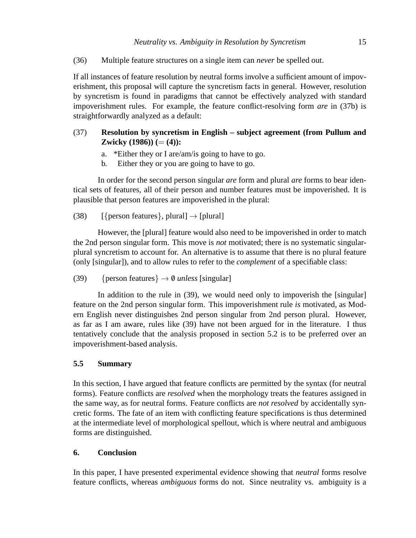(36) Multiple feature structures on a single item can *never* be spelled out.

If all instances of feature resolution by neutral forms involve a sufficient amount of impoverishment, this proposal will capture the syncretism facts in general. However, resolution by syncretism is found in paradigms that cannot be effectively analyzed with standard impoverishment rules. For example, the feature conflict-resolving form *are* in (37b) is straightforwardly analyzed as a default:

# (37) **Resolution by syncretism in English – subject agreement (from Pullum and Zwicky** (1986))  $(=(4))$ :

- a. \*Either they or I are/am/is going to have to go.
- b. Either they or you are going to have to go.

In order for the second person singular *are* form and plural *are* forms to bear identical sets of features, all of their person and number features must be impoverished. It is plausible that person features are impoverished in the plural:

(38) [{person features}, plural]  $\rightarrow$  [plural]

However, the [plural] feature would also need to be impoverished in order to match the 2nd person singular form. This move is *not* motivated; there is no systematic singularplural syncretism to account for. An alternative is to assume that there is no plural feature (only [singular]), and to allow rules to refer to the *complement* of a specifiable class:

(39) {person features}  $\rightarrow$  0 *unless* [singular]

In addition to the rule in (39), we would need only to impoverish the [singular] feature on the 2nd person singular form. This impoverishment rule *is* motivated, as Modern English never distinguishes 2nd person singular from 2nd person plural. However, as far as I am aware, rules like (39) have not been argued for in the literature. I thus tentatively conclude that the analysis proposed in section 5.2 is to be preferred over an impoverishment-based analysis.

# **5.5 Summary**

In this section, I have argued that feature conflicts are permitted by the syntax (for neutral forms). Feature conflicts are *resolved* when the morphology treats the features assigned in the same way, as for neutral forms. Feature conflicts are *not resolved* by accidentally syncretic forms. The fate of an item with conflicting feature specifications is thus determined at the intermediate level of morphological spellout, which is where neutral and ambiguous forms are distinguished.

# **6. Conclusion**

In this paper, I have presented experimental evidence showing that *neutral* forms resolve feature conflicts, whereas *ambiguous* forms do not. Since neutrality vs. ambiguity is a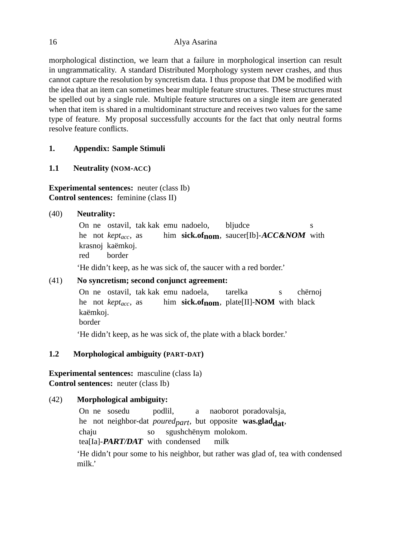morphological distinction, we learn that a failure in morphological insertion can result in ungrammaticality. A standard Distributed Morphology system never crashes, and thus cannot capture the resolution by syncretism data. I thus propose that DM be modified with the idea that an item can sometimes bear multiple feature structures. These structures must be spelled out by a single rule. Multiple feature structures on a single item are generated when that item is shared in a multidominant structure and receives two values for the same type of feature. My proposal successfully accounts for the fact that only neutral forms resolve feature conflicts.

## **1. Appendix: Sample Stimuli**

## **1.1 Neutrality (NOM-ACC)**

# **Experimental sentences:** neuter (class Ib) **Control sentences:** feminine (class II)

## (40) **Neutrality:**

On ne ostavil, tak kak emu nadoelo, he not *keptacc*, as him **sick.ofnom**, saucer[Ib]-**ACC&NOM** with bljudce s krasnoj kaëmkoj. red border 'He didn't keep, as he was sick of, the saucer with a red border.'

# (41) **No syncretism; second conjunct agreement:**

On ne ostavil, tak kak emu nadoela, he not *keptacc*, as him **sick.ofnom**, plate[II]-**NOM** with black tarelka s chërnoj kaëmkoj. border

'He didn't keep, as he was sick of, the plate with a black border.'

# **1.2 Morphological ambiguity (PART-DAT)**

**Experimental sentences:** masculine (class Ia) **Control sentences:** neuter (class Ib)

# (42) **Morphological ambiguity:**

On ne sosedu he not neighbor-dat *poured<sub>part</sub>*, but opposite **was.glad<sub>dat</sub>**, podlil, a naoborot poradovalsja, chaiu tea[Ia]-**PART/DAT** with condensed so sgushchënym molokom. milk

'He didn't pour some to his neighbor, but rather was glad of, tea with condensed milk.'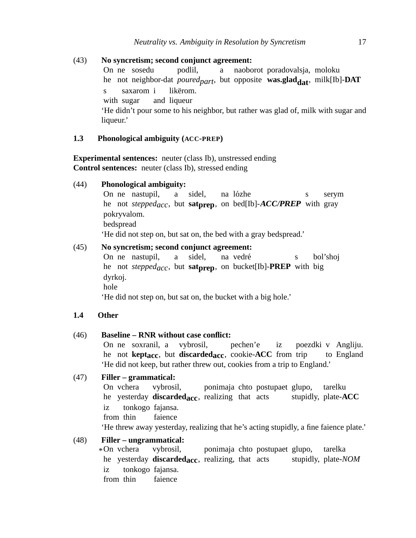(43) **No syncretism; second conjunct agreement:** On ne sosedu he not neighbor-dat *poured<sub>part</sub>*, but opposite **was.glad<sub>dat</sub>**, milk[Ib]-**DAT** podlil, a naoborot poradovalsja, moloku s with sugar saxarom i and liqueur likërom. 'He didn't pour some to his neighbor, but rather was glad of, milk with sugar and liqueur.'

#### **1.3 Phonological ambiguity (ACC-PREP)**

**Experimental sentences:** neuter (class Ib), unstressed ending **Control sentences:** neuter (class Ib), stressed ending

#### (44) **Phonological ambiguity:**

On ne nastupil, he not *steppedacc*, but **satprep**, on bed[Ib]-**ACC/PREP** with gray a sidel, na lózhe s serym pokryvalom. bedspread 'He did not step on, but sat on, the bed with a gray bedspread.'

## (45) **No syncretism; second conjunct agreement:**

On ne nastupil, he not *steppedacc*, but **satprep**, on bucket[Ib]-**PREP** with big a sidel, na vedré s bol'shoj dyrkoj. hole 'He did not step on, but sat on, the bucket with a big hole.'

## **1.4 Other**

#### (46) **Baseline – RNR without case conflict:**

On ne soxranil, a he not **keptacc**, but **discardedacc**, cookie-**ACC** from trip vybrosil, pechen'e iz poezdki v Angliju. to England 'He did not keep, but rather threw out, cookies from a trip to England.'

## (47) **Filler – grammatical:**

On vchera he yesterday **discardedacc**, realizing that acts vybrosil, ponimaja chto postupaet glupo, stupidly, plate-**ACC** tarelku iz from thin tonkogo fajansa. faience 'He threw away yesterday, realizing that he's acting stupidly, a fine faience plate.'

## (48) **Filler – ungrammatical:**

\*On vchera he yesterday **discardedacc**, realizing, that acts vybrosil, ponimaja chto postupaet glupo, stupidly, plate-*NOM* tarelka iz from thin tonkogo fajansa. faience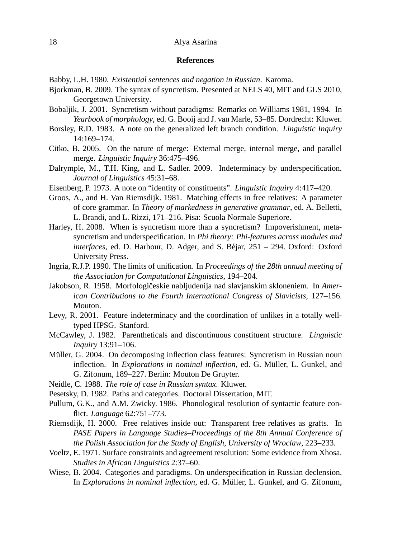#### 18 Alya Asarina

#### **References**

Babby, L.H. 1980. *Existential sentences and negation in Russian*. Karoma.

- Bjorkman, B. 2009. The syntax of syncretism. Presented at NELS 40, MIT and GLS 2010, Georgetown University.
- Bobaljik, J. 2001. Syncretism without paradigms: Remarks on Williams 1981, 1994. In *Yearbook of morphology*, ed. G. Booij and J. van Marle, 53–85. Dordrecht: Kluwer.
- Borsley, R.D. 1983. A note on the generalized left branch condition. *Linguistic Inquiry* 14:169–174.
- Citko, B. 2005. On the nature of merge: External merge, internal merge, and parallel merge. *Linguistic Inquiry* 36:475–496.
- Dalrymple, M., T.H. King, and L. Sadler. 2009. Indeterminacy by underspecification. *Journal of Linguistics* 45:31–68.
- Eisenberg, P. 1973. A note on "identity of constituents". *Linguistic Inquiry* 4:417–420.
- Groos, A., and H. Van Riemsdijk. 1981. Matching effects in free relatives: A parameter of core grammar. In *Theory of markedness in generative grammar*, ed. A. Belletti, L. Brandi, and L. Rizzi, 171–216. Pisa: Scuola Normale Superiore.
- Harley, H. 2008. When is syncretism more than a syncretism? Impoverishment, metasyncretism and underspecification. In *Phi theory: Phi-features across modules and interfaces*, ed. D. Harbour, D. Adger, and S. Béjar, 251 – 294. Oxford: Oxford University Press.
- Ingria, R.J.P. 1990. The limits of unification. In *Proceedings of the 28th annual meeting of the Association for Computational Linguistics*, 194–204.
- Jakobson, R. 1958. Morfologičeskie nabljudenija nad slavjanskim skloneniem. In *American Contributions to the Fourth International Congress of Slavicists*, 127–156. Mouton.
- Levy, R. 2001. Feature indeterminacy and the coordination of unlikes in a totally welltyped HPSG. Stanford.
- McCawley, J. 1982. Parentheticals and discontinuous constituent structure. *Linguistic Inquiry* 13:91–106.
- Müller, G. 2004. On decomposing inflection class features: Syncretism in Russian noun inflection. In *Explorations in nominal inflection*, ed. G. Müller, L. Gunkel, and G. Zifonum, 189–227. Berlin: Mouton De Gruyter.
- Neidle, C. 1988. *The role of case in Russian syntax*. Kluwer.
- Pesetsky, D. 1982. Paths and categories. Doctoral Dissertation, MIT.
- Pullum, G.K., and A.M. Zwicky. 1986. Phonological resolution of syntactic feature conflict. *Language* 62:751–773.
- Riemsdijk, H. 2000. Free relatives inside out: Transparent free relatives as grafts. In *PASE Papers in Language Studies–Proceedings of the 8th Annual Conference of the Polish Association for the Study of English, University of Wroclaw*, 223–233.
- Voeltz, E. 1971. Surface constraints and agreement resolution: Some evidence from Xhosa. *Studies in African Linguistics* 2:37–60.
- Wiese, B. 2004. Categories and paradigms. On underspecification in Russian declension. In *Explorations in nominal inflection*, ed. G. Müller, L. Gunkel, and G. Zifonum,